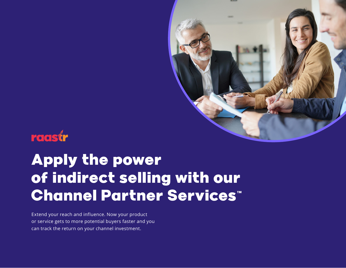

## raastr

# Apply the power of indirect selling with our Channel Partner Services<sup>"</sup>

Extend your reach and influence. Now your product or service gets to more potential buyers faster and you can track the return on your channel investment.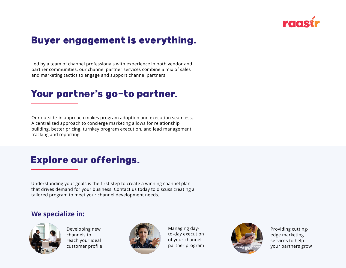

## Buyer engagement is everything.

Led by a team of channel professionals with experience in both vendor and partner communities, our channel partner services combine a mix of sales and marketing tactics to engage and support channel partners.

## Your partner's go-to partner.

Our outside-in approach makes program adoption and execution seamless. A centralized approach to concierge marketing allows for relationship building, better pricing, turnkey program execution, and lead management, tracking and reporting.

## Explore our offerings.

Understanding your goals is the first step to create a winning channel plan that drives demand for your business. Contact us today to discuss creating a tailored program to meet your channel development needs.

#### **We specialize in:**



Developing new channels to reach your ideal customer profile



Managing dayto-day execution of your channel partner program



Providing cuttingedge marketing services to help your partners grow